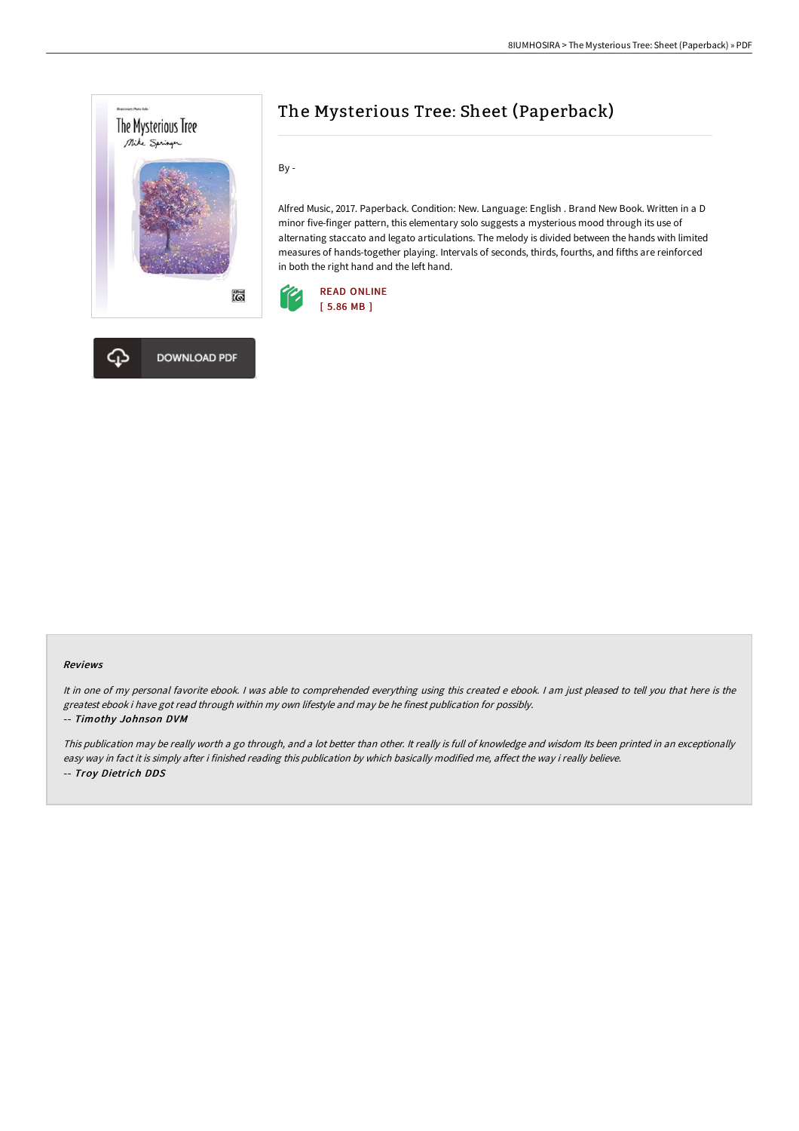



By -

Alfred Music, 2017. Paperback. Condition: New. Language: English . Brand New Book. Written in a D minor five-finger pattern, this elementary solo suggests a mysterious mood through its use of alternating staccato and legato articulations. The melody is divided between the hands with limited measures of hands-together playing. Intervals of seconds, thirds, fourths, and fifths are reinforced in both the right hand and the left hand.



#### Reviews

It in one of my personal favorite ebook. <sup>I</sup> was able to comprehended everything using this created <sup>e</sup> ebook. <sup>I</sup> am just pleased to tell you that here is the greatest ebook i have got read through within my own lifestyle and may be he finest publication for possibly.

#### -- Timothy Johnson DVM

This publication may be really worth <sup>a</sup> go through, and <sup>a</sup> lot better than other. It really is full of knowledge and wisdom Its been printed in an exceptionally easy way in fact it is simply after i finished reading this publication by which basically modified me, affect the way i really believe. -- Troy Dietrich DDS